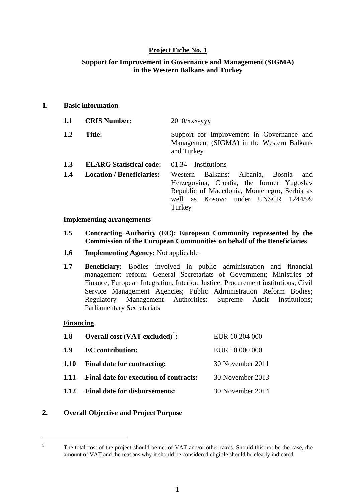### **Project Fiche No. 1**

#### **Support for Improvement in Governance and Management (SIGMA) in the Western Balkans and Turkey**

#### **1. Basic information**

| 1.1 | <b>CRIS Number:</b>              | $2010/xxx$ -yyy                                                                                                                                                                      |
|-----|----------------------------------|--------------------------------------------------------------------------------------------------------------------------------------------------------------------------------------|
| 1.2 | <b>Title:</b>                    | Support for Improvement in Governance and<br>Management (SIGMA) in the Western Balkans<br>and Turkey                                                                                 |
| 1.3 | <b>ELARG Statistical code:</b>   | $01.34 -$ Institutions                                                                                                                                                               |
| 1.4 | <b>Location / Beneficiaries:</b> | Western Balkans: Albania, Bosnia<br>and<br>Herzegovina, Croatia, the former Yugoslav<br>Republic of Macedonia, Montenegro, Serbia as<br>well as Kosovo under UNSCR 1244/99<br>Turkey |

#### **Implementing arrangements**

- **1.5 Contracting Authority (EC): European Community represented by the Commission of the European Communities on behalf of the Beneficiaries**.
- **1.6 Implementing Agency:** Not applicable
- **1.7 Beneficiary:** Bodies involved in public administration and financial management reform: General Secretariats of Government; Ministries of Finance, European Integration, Interior, Justice; Procurement institutions; Civil Service Management Agencies; Public Administration Reform Bodies; Regulatory Management Authorities; Supreme Audit Institutions; Parliamentary Secretariats

#### **Financing**

<u>.</u>

| 1.8  | Overall cost $(VAT$ excluded) <sup>1</sup> : | EUR 10 204 000   |
|------|----------------------------------------------|------------------|
| 1.9  | <b>EC</b> contribution:                      | EUR 10 000 000   |
| 1.10 | Final date for contracting:                  | 30 November 2011 |
| 1.11 | Final date for execution of contracts:       | 30 November 2013 |
| 1.12 | <b>Final date for disbursements:</b>         | 30 November 2014 |

#### **2. Overall Objective and Project Purpose**

<span id="page-0-0"></span><sup>1</sup> The total cost of the project should be net of VAT and/or other taxes. Should this not be the case, the amount of VAT and the reasons why it should be considered eligible should be clearly indicated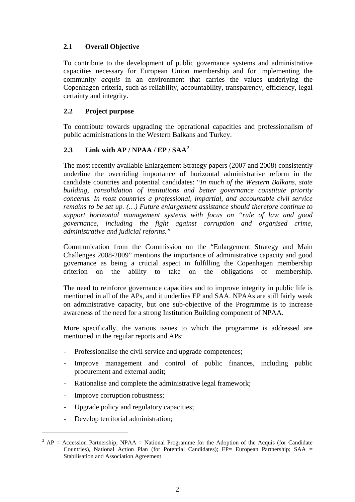## **2.1 Overall Objective**

To contribute to the development of public governance systems and administrative capacities necessary for European Union membership and for implementing the community *acquis* in an environment that carries the values underlying the Copenhagen criteria, such as reliability, accountability, transparency, efficiency, legal certainty and integrity.

### **2.2 Project purpose**

 To contribute towards upgrading the operational capacities and professionalism of public administrations in the Western Balkans and Turkey.

### **2.3 Link with AP / NPAA / EP / SAA**[2](#page-1-0)

The most recently available Enlargement Strategy papers (2007 and 2008) consistently underline the overriding importance of horizontal administrative reform in the candidate countries and potential candidates: "*In much of the Western Balkans, state building, consolidation of institutions and better governance constitute priority concerns. In most countries a professional, impartial, and accountable civil service remains to be set up. (…) Future enlargement assistance should therefore continue to support horizontal management systems with focus on "rule of law and good governance, including the fight against corruption and organised crime, administrative and judicial reforms."* 

Communication from the Commission on the "Enlargement Strategy and Main Challenges 2008-2009" mentions the importance of administrative capacity and good governance as being a crucial aspect in fulfilling the Copenhagen membership criterion on the ability to take on the obligations of membership.

The need to reinforce governance capacities and to improve integrity in public life is mentioned in all of the APs, and it underlies EP and SAA. NPAAs are still fairly weak on administrative capacity, but one sub-objective of the Programme is to increase awareness of the need for a strong Institution Building component of NPAA.

More specifically, the various issues to which the programme is addressed are mentioned in the regular reports and APs:

- Professionalise the civil service and upgrade competences;
- Improve management and control of public finances, including public procurement and external audit;
- Rationalise and complete the administrative legal framework;
- Improve corruption robustness;
- Upgrade policy and regulatory capacities;
- Develop territorial administration;

1

<span id="page-1-0"></span> $^2$  AP = Accession Partnership; NPAA = National Programme for the Adoption of the Acquis (for Candidate Countries), National Action Plan (for Potential Candidates); EP= European Partnership; SAA = Stabilisation and Association Agreement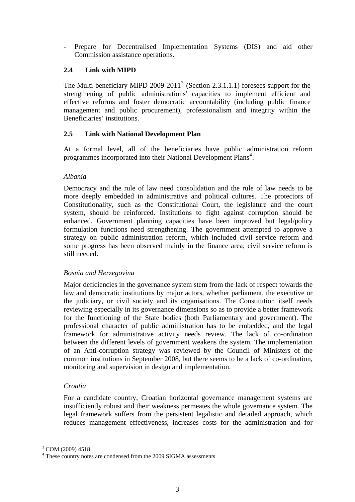Prepare for Decentralised Implementation Systems (DIS) and aid other Commission assistance operations.

### **2.4 Link with MIPD**

The Multi-beneficiary MIPD 2009-2011<sup>[3](#page-2-0)</sup> (Section 2.3.1.1.1) foresees support for the strengthening of public administrations' capacities to implement efficient and effective reforms and foster democratic accountability (including public finance management and public procurement), professionalism and integrity within the Beneficiaries' institutions.

### **2.5 Link with National Development Plan**

At a formal level, all of the beneficiaries have public administration reform programmes incorporated into their National Development Plans<sup>[4](#page-2-1)</sup>.

### *Albania*

Democracy and the rule of law need consolidation and the rule of law needs to be more deeply embedded in administrative and political cultures. The protectors of Constitutionality, such as the Constitutional Court, the legislature and the court system, should be reinforced. Institutions to fight against corruption should be enhanced. Government planning capacities have been improved but legal/policy formulation functions need strengthening. The government attempted to approve a strategy on public administration reform, which included civil service reform and some progress has been observed mainly in the finance area; civil service reform is still needed.

### *Bosnia and Herzegovina*

Major deficiencies in the governance system stem from the lack of respect towards the law and democratic institutions by major actors, whether parliament, the executive or the judiciary, or civil society and its organisations. The Constitution itself needs reviewing especially in its governance dimensions so as to provide a better framework for the functioning of the State bodies (both Parliamentary and government). The professional character of public administration has to be embedded, and the legal framework for administrative activity needs review. The lack of co-ordination between the different levels of government weakens the system. The implementation of an Anti-corruption strategy was reviewed by the Council of Ministers of the common institutions in September 2008, but there seems to be a lack of co-ordination, monitoring and supervision in design and implementation.

### *Croatia*

For a candidate country, Croatian horizontal governance management systems are insufficiently robust and their weakness permeates the whole governance system. The legal framework suffers from the persistent legalistic and detailed approach, which reduces management effectiveness, increases costs for the administration and for

<u>.</u>

<span id="page-2-0"></span><sup>&</sup>lt;sup>3</sup> COM (2009) 4518

<span id="page-2-1"></span><sup>&</sup>lt;sup>4</sup> These country notes are condensed from the 2009 SIGMA assessments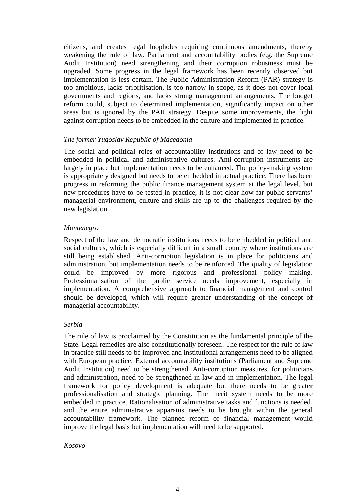citizens, and creates legal loopholes requiring continuous amendments, thereby weakening the rule of law. Parliament and accountability bodies (e.g. the Supreme Audit Institution) need strengthening and their corruption robustness must be upgraded. Some progress in the legal framework has been recently observed but implementation is less certain. The Public Administration Reform (PAR) strategy is too ambitious, lacks prioritisation, is too narrow in scope, as it does not cover local governments and regions, and lacks strong management arrangements. The budget reform could, subject to determined implementation, significantly impact on other areas but is ignored by the PAR strategy. Despite some improvements, the fight against corruption needs to be embedded in the culture and implemented in practice.

#### *The former Yugoslav Republic of Macedonia*

The social and political roles of accountability institutions and of law need to be embedded in political and administrative cultures. Anti-corruption instruments are largely in place but implementation needs to be enhanced. The policy-making system is appropriately designed but needs to be embedded in actual practice. There has been progress in reforming the public finance management system at the legal level, but new procedures have to be tested in practice; it is not clear how far public servants' managerial environment, culture and skills are up to the challenges required by the new legislation.

#### *Montenegro*

Respect of the law and democratic institutions needs to be embedded in political and social cultures, which is especially difficult in a small country where institutions are still being established. Anti-corruption legislation is in place for politicians and administration, but implementation needs to be reinforced. The quality of legislation could be improved by more rigorous and professional policy making. Professionalisation of the public service needs improvement, especially in implementation. A comprehensive approach to financial management and control should be developed, which will require greater understanding of the concept of managerial accountability.

#### *Serbia*

The rule of law is proclaimed by the Constitution as the fundamental principle of the State. Legal remedies are also constitutionally foreseen. The respect for the rule of law in practice still needs to be improved and institutional arrangements need to be aligned with European practice. External accountability institutions (Parliament and Supreme Audit Institution) need to be strengthened. Anti-corruption measures, for politicians and administration, need to be strengthened in law and in implementation. The legal framework for policy development is adequate but there needs to be greater professionalisation and strategic planning. The merit system needs to be more embedded in practice. Rationalisation of administrative tasks and functions is needed, and the entire administrative apparatus needs to be brought within the general accountability framework. The planned reform of financial management would improve the legal basis but implementation will need to be supported.

#### *Kosovo*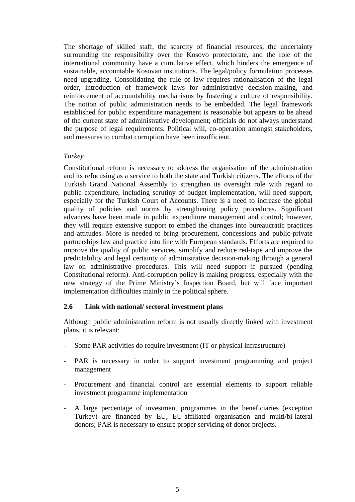The shortage of skilled staff, the scarcity of financial resources, the uncertainty surrounding the responsibility over the Kosovo protectorate, and the role of the international community have a cumulative effect, which hinders the emergence of sustainable, accountable Kosovan institutions. The legal/policy formulation processes need upgrading. Consolidating the rule of law requires rationalisation of the legal order, introduction of framework laws for administrative decision-making, and reinforcement of accountability mechanisms by fostering a culture of responsibility. The notion of public administration needs to be embedded. The legal framework established for public expenditure management is reasonable but appears to be ahead of the current state of administrative development; officials do not always understand the purpose of legal requirements. Political will, co-operation amongst stakeholders, and measures to combat corruption have been insufficient.

#### *Turkey*

Constitutional reform is necessary to address the organisation of the administration and its refocusing as a service to both the state and Turkish citizens. The efforts of the Turkish Grand National Assembly to strengthen its oversight role with regard to public expenditure, including scrutiny of budget implementation, will need support, especially for the Turkish Court of Accounts. There is a need to increase the global quality of policies and norms by strengthening policy procedures. Significant advances have been made in public expenditure management and control; however, they will require extensive support to embed the changes into bureaucratic practices and attitudes. More is needed to bring procurement, concessions and public-private partnerships law and practice into line with European standards. Efforts are required to improve the quality of public services, simplify and reduce red-tape and improve the predictability and legal certainty of administrative decision-making through a general law on administrative procedures. This will need support if pursued (pending Constitutional reform). Anti-corruption policy is making progress, especially with the new strategy of the Prime Ministry's Inspection Board, but will face important implementation difficulties mainly in the political sphere.

### **2.6 Link with national/ sectoral investment plans**

Although public administration reform is not usually directly linked with investment plans, it is relevant:

- Some PAR activities do require investment (IT or physical infrastructure)
- PAR is necessary in order to support investment programming and project management
- Procurement and financial control are essential elements to support reliable investment programme implementation
- A large percentage of investment programmes in the beneficiaries (exception Turkey) are financed by EU, EU-affiliated organisation and multi/bi-lateral donors; PAR is necessary to ensure proper servicing of donor projects.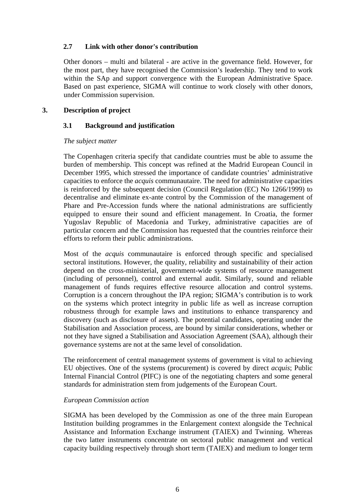#### **2.7 Link with other donor's contribution**

Other donors – multi and bilateral - are active in the governance field. However, for the most part, they have recognised the Commission's leadership. They tend to work within the SAp and support convergence with the European Administrative Space. Based on past experience, SIGMA will continue to work closely with other donors, under Commission supervision.

#### **3. Description of project**

#### **3.1 Background and justification**

#### *The subject matter*

The Copenhagen criteria specify that candidate countries must be able to assume the burden of membership. This concept was refined at the Madrid European Council in December 1995, which stressed the importance of candidate countries' administrative capacities to enforce the *acquis* communautaire. The need for administrative capacities is reinforced by the subsequent decision (Council Regulation (EC) No 1266/1999) to decentralise and eliminate ex-ante control by the Commission of the management of Phare and Pre-Accession funds where the national administrations are sufficiently equipped to ensure their sound and efficient management. In Croatia, the former Yugoslav Republic of Macedonia and Turkey, administrative capacities are of particular concern and the Commission has requested that the countries reinforce their efforts to reform their public administrations.

Most of the *acquis* communautaire is enforced through specific and specialised sectoral institutions. However, the quality, reliability and sustainability of their action depend on the cross-ministerial, government-wide systems of resource management (including of personnel), control and external audit. Similarly, sound and reliable management of funds requires effective resource allocation and control systems. Corruption is a concern throughout the IPA region; SIGMA's contribution is to work on the systems which protect integrity in public life as well as increase corruption robustness through for example laws and institutions to enhance transparency and discovery (such as disclosure of assets). The potential candidates, operating under the Stabilisation and Association process, are bound by similar considerations, whether or not they have signed a Stabilisation and Association Agreement (SAA), although their governance systems are not at the same level of consolidation.

The reinforcement of central management systems of government is vital to achieving EU objectives. One of the systems (procurement) is covered by direct *acquis*; Public Internal Financial Control (PIFC) is one of the negotiating chapters and some general standards for administration stem from judgements of the European Court.

#### *European Commission action*

SIGMA has been developed by the Commission as one of the three main European Institution building programmes in the Enlargement context alongside the Technical Assistance and Information Exchange instrument (TAIEX) and Twinning. Whereas the two latter instruments concentrate on sectoral public management and vertical capacity building respectively through short term (TAIEX) and medium to longer term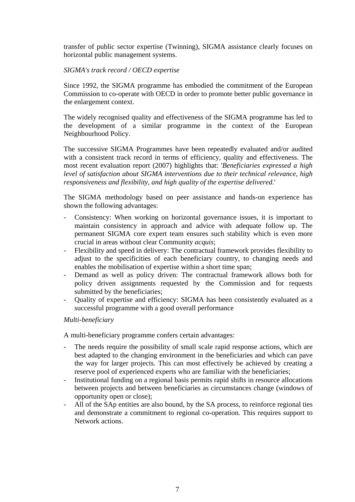transfer of public sector expertise (Twinning), SIGMA assistance clearly focuses on horizontal public management systems.

### *SIGMA's track record / OECD expertise*

Since 1992, the SIGMA programme has embodied the commitment of the European Commission to co-operate with OECD in order to promote better public governance in the enlargement context.

The widely recognised quality and effectiveness of the SIGMA programme has led to the development of a similar programme in the context of the European Neighbourhood Policy.

The successive SIGMA Programmes have been repeatedly evaluated and/or audited with a consistent track record in terms of efficiency, quality and effectiveness. The most recent evaluation report (2007) highlights that: '*Beneficiaries expressed a high level of satisfaction about SIGMA interventions due to their technical relevance, high responsiveness and flexibility, and high quality of the expertise delivered*.'

The SIGMA methodology based on peer assistance and hands-on experience has shown the following advantages:

- Consistency: When working on horizontal governance issues, it is important to maintain consistency in approach and advice with adequate follow up. The permanent SIGMA core expert team ensures such stability which is even more crucial in areas without clear Community *acquis*;
- Flexibility and speed in delivery: The contractual framework provides flexibility to adjust to the specificities of each beneficiary country, to changing needs and enables the mobilisation of expertise within a short time span;
- Demand as well as policy driven: The contractual framework allows both for policy driven assignments requested by the Commission and for requests submitted by the beneficiaries;
- Quality of expertise and efficiency: SIGMA has been consistently evaluated as a successful programme with a good overall performance

#### *Multi-beneficiary*

A multi-beneficiary programme confers certain advantages:

- The needs require the possibility of small scale rapid response actions, which are best adapted to the changing environment in the beneficiaries and which can pave the way for larger projects. This can most effectively be achieved by creating a reserve pool of experienced experts who are familiar with the beneficiaries;
- Institutional funding on a regional basis permits rapid shifts in resource allocations between projects and between beneficiaries as circumstances change (windows of opportunity open or close);
- All of the SAp entities are also bound, by the SA process, to reinforce regional ties and demonstrate a commitment to regional co-operation. This requires support to Network actions.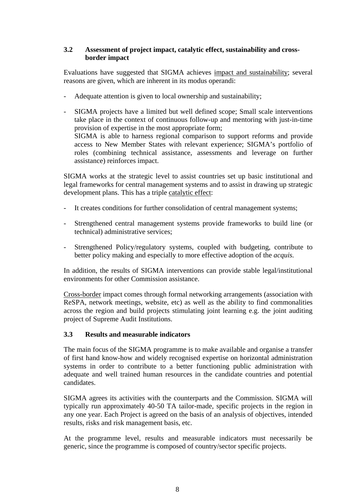### **3.2 Assessment of project impact, catalytic effect, sustainability and cross border impact**

Evaluations have suggested that SIGMA achieves impact and sustainability; several reasons are given, which are inherent in its modus operandi:

- Adequate attention is given to local ownership and sustainability;
- SIGMA projects have a limited but well defined scope; Small scale interventions take place in the context of continuous follow-up and mentoring with just-in-time provision of expertise in the most appropriate form; SIGMA is able to harness regional comparison to support reforms and provide access to New Member States with relevant experience; SIGMA's portfolio of roles (combining technical assistance, assessments and leverage on further assistance) reinforces impact.

SIGMA works at the strategic level to assist countries set up basic institutional and legal frameworks for central management systems and to assist in drawing up strategic development plans. This has a triple catalytic effect:

- It creates conditions for further consolidation of central management systems;
- Strengthened central management systems provide frameworks to build line (or technical) administrative services;
- Strengthened Policy/regulatory systems, coupled with budgeting, contribute to better policy making and especially to more effective adoption of the *acquis.*

In addition, the results of SIGMA interventions can provide stable legal/institutional environments for other Commission assistance.

Cross-border impact comes through formal networking arrangements (association with ReSPA, network meetings, website, etc) as well as the ability to find commonalities across the region and build projects stimulating joint learning e.g. the joint auditing project of Supreme Audit Institutions.

### **3.3 Results and measurable indicators**

The main focus of the SIGMA programme is to make available and organise a transfer of first hand know-how and widely recognised expertise on horizontal administration systems in order to contribute to a better functioning public administration with adequate and well trained human resources in the candidate countries and potential candidates.

SIGMA agrees its activities with the counterparts and the Commission. SIGMA will typically run approximately 40-50 TA tailor-made, specific projects in the region in any one year. Each Project is agreed on the basis of an analysis of objectives, intended results, risks and risk management basis, etc.

At the programme level, results and measurable indicators must necessarily be generic, since the programme is composed of country/sector specific projects.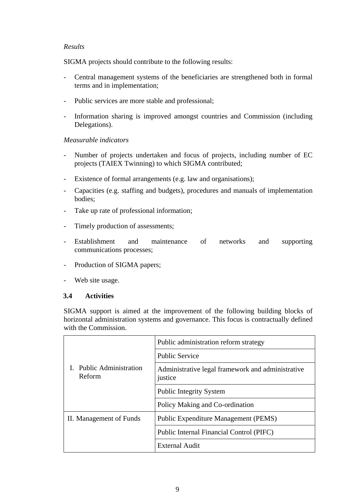### *Results*

SIGMA projects should contribute to the following results:

- Central management systems of the beneficiaries are strengthened both in formal terms and in implementation;
- Public services are more stable and professional;
- Information sharing is improved amongst countries and Commission (including Delegations).

### *Measurable indicators*

- Number of projects undertaken and focus of projects, including number of EC projects (TAIEX Twinning) to which SIGMA contributed;
- Existence of formal arrangements (e.g. law and organisations);
- Capacities (e.g. staffing and budgets), procedures and manuals of implementation bodies;
- Take up rate of professional information;
- Timely production of assessments;
- Establishment and maintenance of networks and supporting communications processes;
- Production of SIGMA papers;
- Web site usage.

### **3.4 Activities**

SIGMA support is aimed at the improvement of the following building blocks of horizontal administration systems and governance. This focus is contractually defined with the Commission.

|                                    | Public administration reform strategy                        |  |  |  |  |
|------------------------------------|--------------------------------------------------------------|--|--|--|--|
|                                    | <b>Public Service</b>                                        |  |  |  |  |
| I. Public Administration<br>Reform | Administrative legal framework and administrative<br>justice |  |  |  |  |
|                                    | <b>Public Integrity System</b>                               |  |  |  |  |
|                                    | Policy Making and Co-ordination                              |  |  |  |  |
| II. Management of Funds            | Public Expenditure Management (PEMS)                         |  |  |  |  |
|                                    | Public Internal Financial Control (PIFC)                     |  |  |  |  |
|                                    | <b>External Audit</b>                                        |  |  |  |  |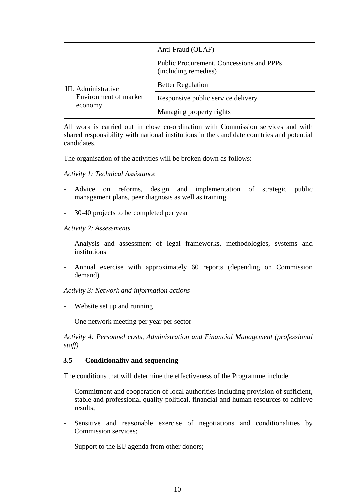|                       | Anti-Fraud (OLAF)                                                |  |  |
|-----------------------|------------------------------------------------------------------|--|--|
|                       | Public Procurement, Concessions and PPPs<br>(including remedies) |  |  |
| III. Administrative   | <b>Better Regulation</b>                                         |  |  |
| Environment of market | Responsive public service delivery                               |  |  |
| economy               | Managing property rights                                         |  |  |

All work is carried out in close co-ordination with Commission services and with shared responsibility with national institutions in the candidate countries and potential candidates.

The organisation of the activities will be broken down as follows:

#### *Activity 1: Technical Assistance*

- Advice on reforms, design and implementation of strategic public management plans, peer diagnosis as well as training
- 30-40 projects to be completed per year

#### *Activity 2: Assessments*

- Analysis and assessment of legal frameworks, methodologies, systems and institutions
- Annual exercise with approximately 60 reports (depending on Commission demand)

*Activity 3: Network and information actions* 

- Website set up and running
- One network meeting per year per sector

*Activity 4: Personnel costs, Administration and Financial Management (professional staff)* 

#### **3.5 Conditionality and sequencing**

The conditions that will determine the effectiveness of the Programme include:

- Commitment and cooperation of local authorities including provision of sufficient, stable and professional quality political, financial and human resources to achieve results;
- Sensitive and reasonable exercise of negotiations and conditionalities by Commission services;
- Support to the EU agenda from other donors;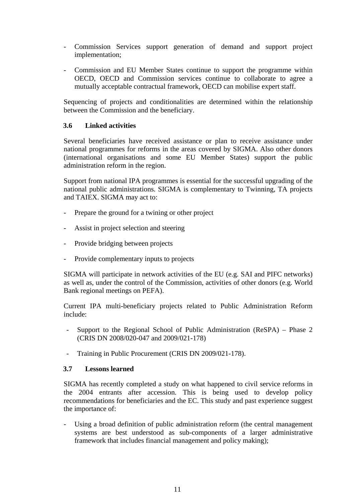- Commission Services support generation of demand and support project implementation;
- Commission and EU Member States continue to support the programme within OECD, OECD and Commission services continue to collaborate to agree a mutually acceptable contractual framework, OECD can mobilise expert staff.

Sequencing of projects and conditionalities are determined within the relationship between the Commission and the beneficiary.

#### **3.6 Linked activities**

Several beneficiaries have received assistance or plan to receive assistance under national programmes for reforms in the areas covered by SIGMA. Also other donors (international organisations and some EU Member States) support the public administration reform in the region.

Support from national IPA programmes is essential for the successful upgrading of the national public administrations. SIGMA is complementary to Twinning, TA projects and TAIEX. SIGMA may act to:

- Prepare the ground for a twining or other project
- Assist in project selection and steering
- Provide bridging between projects
- Provide complementary inputs to projects

SIGMA will participate in network activities of the EU (e.g. SAI and PIFC networks) as well as, under the control of the Commission, activities of other donors (e.g. World Bank regional meetings on PEFA).

Current IPA multi-beneficiary projects related to Public Administration Reform include:

- Support to the Regional School of Public Administration (ReSPA) Phase 2 (CRIS DN 2008/020-047 and 2009/021-178)
- Training in Public Procurement (CRIS DN 2009/021-178).

#### **3.7 Lessons learned**

SIGMA has recently completed a study on what happened to civil service reforms in the 2004 entrants after accession. This is being used to develop policy recommendations for beneficiaries and the EC. This study and past experience suggest the importance of:

- Using a broad definition of public administration reform (the central management systems are best understood as sub-components of a larger administrative framework that includes financial management and policy making);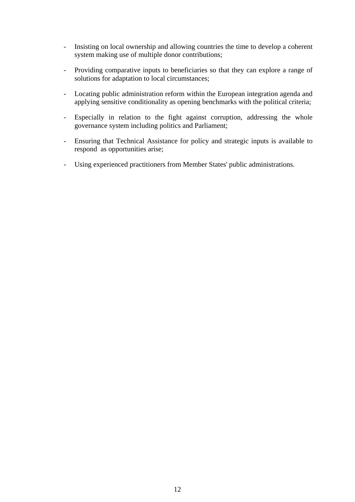- Insisting on local ownership and allowing countries the time to develop a coherent system making use of multiple donor contributions;
- Providing comparative inputs to beneficiaries so that they can explore a range of solutions for adaptation to local circumstances;
- Locating public administration reform within the European integration agenda and applying sensitive conditionality as opening benchmarks with the political criteria;
- Especially in relation to the fight against corruption, addressing the whole governance system including politics and Parliament;
- Ensuring that Technical Assistance for policy and strategic inputs is available to respond as opportunities arise;
- Using experienced practitioners from Member States' public administrations.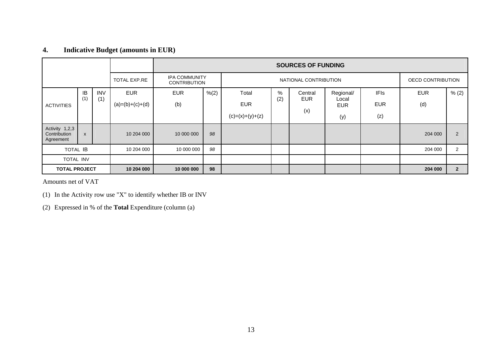# **4. Indicative Budget (amounts in EUR)**

|                                             |                           |            |                   | <b>SOURCES OF FUNDING</b>                                            |       |                   |            |                   |                     |             |            |                |
|---------------------------------------------|---------------------------|------------|-------------------|----------------------------------------------------------------------|-------|-------------------|------------|-------------------|---------------------|-------------|------------|----------------|
| <b>TOTAL EXP.RE</b>                         |                           |            |                   | <b>IPA COMMUNITY</b><br>NATIONAL CONTRIBUTION<br><b>CONTRIBUTION</b> |       |                   |            | OECD CONTRIBUTION |                     |             |            |                |
|                                             | IB                        | <b>INV</b> | <b>EUR</b>        | <b>EUR</b>                                                           | % (2) | Total             | %          | Central           | Regional/           | <b>IFIs</b> | <b>EUR</b> | % (2)          |
| <b>ACTIVITIES</b>                           | (1)                       | (1)        | $(a)=(b)+(c)+(d)$ | (b)                                                                  |       | <b>EUR</b>        | (2)<br>EUR |                   | Local<br><b>EUR</b> | <b>EUR</b>  | (d)        |                |
|                                             |                           |            |                   |                                                                      |       | $(c)=(x)+(y)+(z)$ |            | (x)               | (y)                 | (z)         |            |                |
| Activity 1,2,3<br>Contribution<br>Agreement | $\boldsymbol{\mathsf{x}}$ |            | 10 204 000        | 10 000 000                                                           | 98    |                   |            |                   |                     |             | 204 000    | 2              |
| <b>TOTAL IB</b>                             |                           |            | 10 204 000        | 10 000 000                                                           | 98    |                   |            |                   |                     |             | 204 000    | 2              |
| <b>TOTAL INV</b>                            |                           |            |                   |                                                                      |       |                   |            |                   |                     |             |            |                |
| <b>TOTAL PROJECT</b>                        |                           |            | 10 204 000        | 10 000 000                                                           | 98    |                   |            |                   |                     |             | 204 000    | $\overline{2}$ |

Amounts net of VAT

(1) In the Activity row use "X" to identify whether IB or INV

(2) Expressed in % of the **Total** Expenditure (column (a)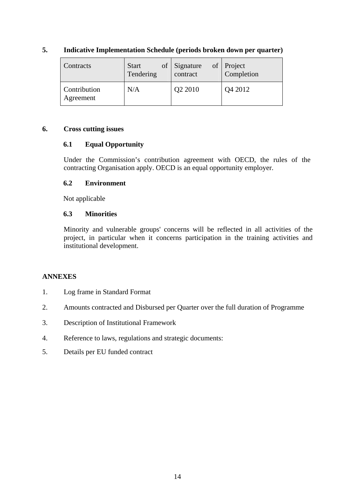| Contracts                 | <b>Start</b> | of Signature | of Project |
|---------------------------|--------------|--------------|------------|
|                           | Tendering    | contract     | Completion |
| Contribution<br>Agreement | N/A          | Q2 2010      | Q4 2012    |

### **5. Indicative Implementation Schedule (periods broken down per quarter)**

### **6. Cross cutting issues**

### **6.1 Equal Opportunity**

Under the Commission's contribution agreement with OECD, the rules of the contracting Organisation apply. OECD is an equal opportunity employer.

### **6.2 Environment**

Not applicable

### **6.3 Minorities**

Minority and vulnerable groups' concerns will be reflected in all activities of the project, in particular when it concerns participation in the training activities and institutional development.

### **ANNEXES**

- 1. Log frame in Standard Format
- 2. Amounts contracted and Disbursed per Quarter over the full duration of Programme
- 3. Description of Institutional Framework
- 4. Reference to laws, regulations and strategic documents:
- 5. Details per EU funded contract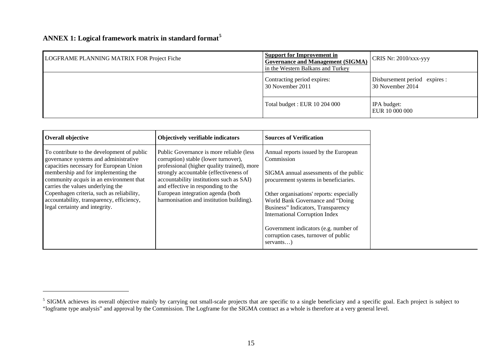# **ANNEX 1: Logical framework matrix in standard format[5](#page-14-0)**

| LOGFRAME PLANNING MATRIX FOR Project Fiche | <b>Support for Improvement in</b><br><b>Governance and Management (SIGMA)</b><br>in the Western Balkans and Turkey | CRIS Nr: $2010/xxx$ -yyy                          |  |
|--------------------------------------------|--------------------------------------------------------------------------------------------------------------------|---------------------------------------------------|--|
|                                            | Contracting period expires:<br>30 November 2011                                                                    | Disbursement period expires :<br>30 November 2014 |  |
|                                            | Total budget : EUR 10 204 000                                                                                      | IPA budget:<br>EUR 10 000 000                     |  |

| <b>Overall objective</b>                                                                                                       | Objectively verifiable indicators                                                                                               | <b>Sources of Verification</b>                                                                                                      |
|--------------------------------------------------------------------------------------------------------------------------------|---------------------------------------------------------------------------------------------------------------------------------|-------------------------------------------------------------------------------------------------------------------------------------|
| To contribute to the development of public<br>governance systems and administrative<br>capacities necessary for European Union | Public Governance is more reliable (less<br>corruption) stable (lower turnover),<br>professional (higher quality trained), more | Annual reports issued by the European<br>Commission                                                                                 |
| membership and for implementing the<br>community <i>acquis</i> in an environment that<br>carries the values underlying the     | strongly accountable (effectiveness of<br>accountability institutions such as SAI)<br>and effective in responding to the        | SIGMA annual assessments of the public<br>procurement systems in beneficiaries.                                                     |
| Copenhagen criteria, such as reliability,<br>accountability, transparency, efficiency,<br>legal certainty and integrity.       | European integration agenda (both<br>harmonisation and institution building).                                                   | Other organisations' reports: especially<br>World Bank Governance and "Doing"<br>Business" Indicators, Transparency                 |
|                                                                                                                                |                                                                                                                                 | <b>International Corruption Index</b><br>Government indicators (e.g. number of<br>corruption cases, turnover of public<br>servants) |

<span id="page-14-0"></span><sup>&</sup>lt;sup>5</sup> SIGMA achieves its overall objective mainly by carrying out small-scale projects that are specific to a single beneficiary and a specific goal. Each project is subject to "logframe type analysis" and approval by the Commission. The Logframe for the SIGMA contract as a whole is therefore at a very general level.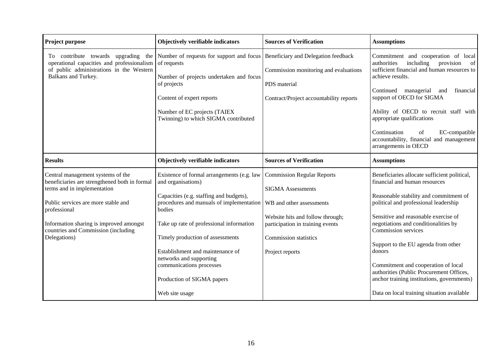| <b>Project purpose</b>                                                                                                                                                                                                                                                     | Objectively verifiable indicators                                                                                                                                                                                                                                                                                                                                                            | <b>Sources of Verification</b>                                                                                                                                                                                       | <b>Assumptions</b>                                                                                                                                                                                                                                                                                                                                                                                                                                                                                      |  |  |
|----------------------------------------------------------------------------------------------------------------------------------------------------------------------------------------------------------------------------------------------------------------------------|----------------------------------------------------------------------------------------------------------------------------------------------------------------------------------------------------------------------------------------------------------------------------------------------------------------------------------------------------------------------------------------------|----------------------------------------------------------------------------------------------------------------------------------------------------------------------------------------------------------------------|---------------------------------------------------------------------------------------------------------------------------------------------------------------------------------------------------------------------------------------------------------------------------------------------------------------------------------------------------------------------------------------------------------------------------------------------------------------------------------------------------------|--|--|
| To contribute towards<br>upgrading<br>the<br>operational capacities and professionalism<br>of public administrations in the Western<br>Balkans and Turkey.                                                                                                                 | Number of requests for support and focus<br>of requests<br>Number of projects undertaken and focus<br>of projects<br>Content of expert reports<br>Number of EC projects (TAIEX<br>Twinning) to which SIGMA contributed                                                                                                                                                                       | Beneficiary and Delegation feedback<br>Commission monitoring and evaluations<br>PDS material<br>Contract/Project accountability reports                                                                              | Commitment and cooperation of local<br>including<br>provision<br>authorities<br>of<br>sufficient financial and human resources to<br>achieve results.<br>managerial<br>Continued<br>financial<br>and<br>support of OECD for SIGMA<br>Ability of OECD to recruit staff with<br>appropriate qualifications<br>Continuation<br>EC-compatible<br>of<br>accountability, financial and management<br>arrangements in OECD                                                                                     |  |  |
| <b>Results</b>                                                                                                                                                                                                                                                             | Objectively verifiable indicators                                                                                                                                                                                                                                                                                                                                                            | <b>Sources of Verification</b>                                                                                                                                                                                       | <b>Assumptions</b>                                                                                                                                                                                                                                                                                                                                                                                                                                                                                      |  |  |
| Central management systems of the<br>beneficiaries are strengthened both in formal<br>terms and in implementation<br>Public services are more stable and<br>professional<br>Information sharing is improved amongst<br>countries and Commission (including<br>Delegations) | Existence of formal arrangements (e.g. law<br>and organisations)<br>Capacities (e.g. staffing and budgets),<br>procedures and manuals of implementation<br>bodies<br>Take up rate of professional information<br>Timely production of assessments<br>Establishment and maintenance of<br>networks and supporting<br>communications processes<br>Production of SIGMA papers<br>Web site usage | <b>Commission Regular Reports</b><br><b>SIGMA</b> Assessments<br>WB and other assessments<br>Website hits and follow through;<br>participation in training events<br><b>Commission statistics</b><br>Project reports | Beneficiaries allocate sufficient political,<br>financial and human resources<br>Reasonable stability and commitment of<br>political and professional leadership<br>Sensitive and reasonable exercise of<br>negotiations and conditionalities by<br>Commission services<br>Support to the EU agenda from other<br>donors<br>Commitment and cooperation of local<br>authorities (Public Procurement Offices,<br>anchor training institutions, governments)<br>Data on local training situation available |  |  |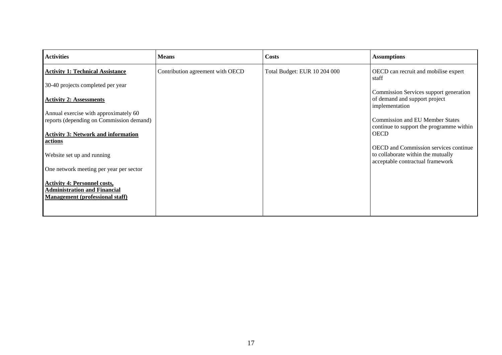| <b>Activities</b>                                                                                                    | <b>Means</b>                     | <b>Costs</b>                 | <b>Assumptions</b>                                                                                                     |
|----------------------------------------------------------------------------------------------------------------------|----------------------------------|------------------------------|------------------------------------------------------------------------------------------------------------------------|
| <b>Activity 1: Technical Assistance</b>                                                                              | Contribution agreement with OECD | Total Budget: EUR 10 204 000 | OECD can recruit and mobilise expert<br>staff                                                                          |
| 30-40 projects completed per year                                                                                    |                                  |                              |                                                                                                                        |
| <b>Activity 2: Assessments</b>                                                                                       |                                  |                              | Commission Services support generation<br>of demand and support project<br>implementation                              |
| Annual exercise with approximately 60                                                                                |                                  |                              |                                                                                                                        |
| reports (depending on Commission demand)                                                                             |                                  |                              | <b>Commission and EU Member States</b>                                                                                 |
| <b>Activity 3: Network and information</b><br>actions                                                                |                                  |                              | continue to support the programme within<br><b>OECD</b>                                                                |
| Website set up and running                                                                                           |                                  |                              | <b>OECD</b> and Commission services continue<br>to collaborate within the mutually<br>acceptable contractual framework |
| One network meeting per year per sector                                                                              |                                  |                              |                                                                                                                        |
| <b>Activity 4: Personnel costs,</b><br><b>Administration and Financial</b><br><b>Management (professional staff)</b> |                                  |                              |                                                                                                                        |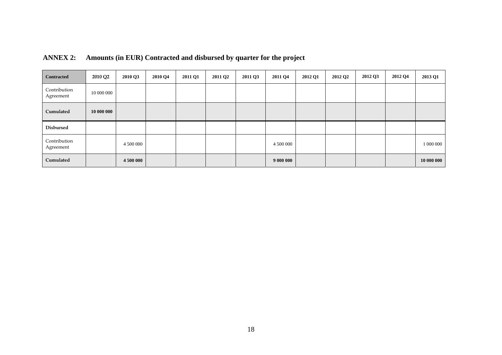| <b>Contracted</b>         | 2010 Q2    | 2010 Q3   | 2010 Q4 | 2011 Q1 | 2011 Q <sub>2</sub> | 2011 Q3 | 2011 Q4   | 2012 Q1 | 2012 Q2 | 2012 Q3 | 2012 Q4 | 2013 Q1    |
|---------------------------|------------|-----------|---------|---------|---------------------|---------|-----------|---------|---------|---------|---------|------------|
| Contribution<br>Agreement | 10 000 000 |           |         |         |                     |         |           |         |         |         |         |            |
| Cumulated                 | 10 000 000 |           |         |         |                     |         |           |         |         |         |         |            |
| <b>Disbursed</b>          |            |           |         |         |                     |         |           |         |         |         |         |            |
| Contribution<br>Agreement |            | 4 500 000 |         |         |                     |         | 4 500 000 |         |         |         |         | 1 000 000  |
| Cumulated                 |            | 4 500 000 |         |         |                     |         | 9 000 000 |         |         |         |         | 10 000 000 |

# **ANNEX 2: Amounts (in EUR) Contracted and disbursed by quarter for the project**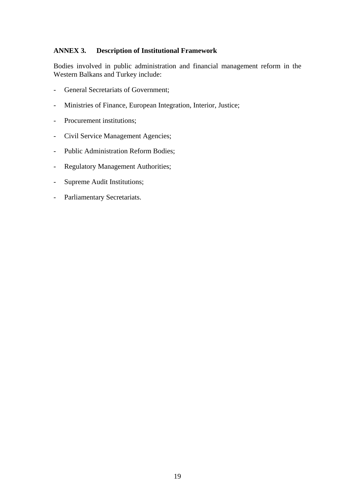### **ANNEX 3. Description of Institutional Framework**

Bodies involved in public administration and financial management reform in the Western Balkans and Turkey include:

- General Secretariats of Government;
- Ministries of Finance, European Integration, Interior, Justice;
- Procurement institutions;
- Civil Service Management Agencies;
- Public Administration Reform Bodies;
- Regulatory Management Authorities;
- Supreme Audit Institutions;
- Parliamentary Secretariats.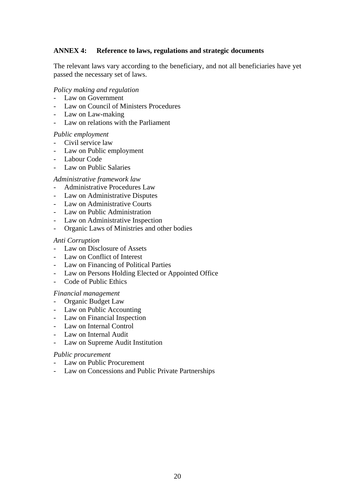### **ANNEX 4: Reference to laws, regulations and strategic documents**

The relevant laws vary according to the beneficiary, and not all beneficiaries have yet passed the necessary set of laws.

#### *Policy making and regulation*

- Law on Government
- Law on Council of Ministers Procedures
- Law on Law-making
- Law on relations with the Parliament

#### *Public employment*

- Civil service law
- Law on Public employment
- Labour Code
- Law on Public Salaries

#### *Administrative framework law*

- Administrative Procedures Law
- Law on Administrative Disputes
- Law on Administrative Courts
- Law on Public Administration
- Law on Administrative Inspection
- Organic Laws of Ministries and other bodies

#### *Anti Corruption*

- Law on Disclosure of Assets
- Law on Conflict of Interest
- Law on Financing of Political Parties
- Law on Persons Holding Elected or Appointed Office
- Code of Public Ethics

#### *Financial management*

- Organic Budget Law
- Law on Public Accounting
- Law on Financial Inspection
- Law on Internal Control
- Law on Internal Audit
- Law on Supreme Audit Institution

#### *Public procurement*

- Law on Public Procurement
- Law on Concessions and Public Private Partnerships